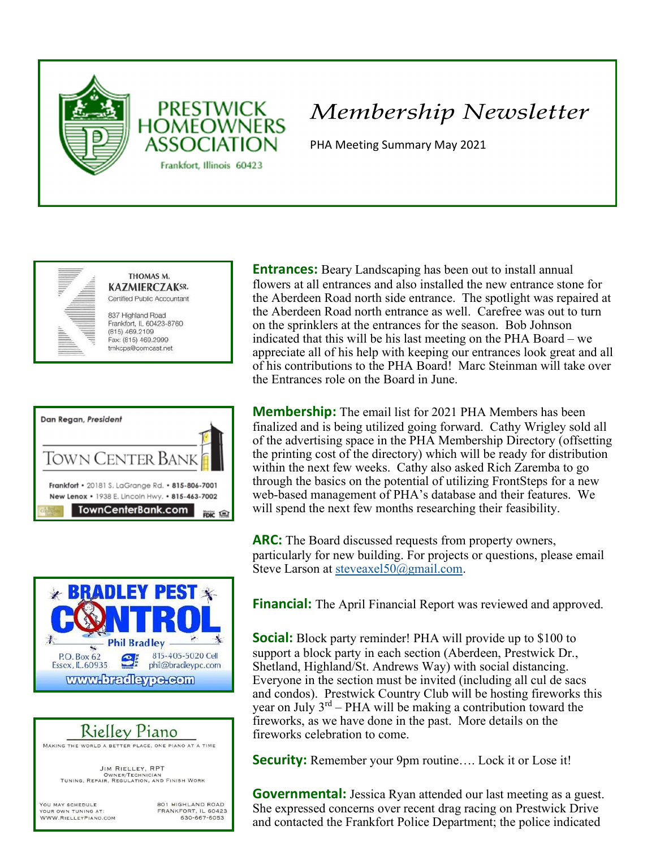



# Membership Newsletter

PHA Meeting Summary May 2021









**Entrances:** Beary Landscaping has been out to install annual flowers at all entrances and also installed the new entrance stone for the Aberdeen Road north side entrance. The spotlight was repaired at the Aberdeen Road north entrance as well. Carefree was out to turn on the sprinklers at the entrances for the season. Bob Johnson indicated that this will be his last meeting on the PHA Board – we appreciate all of his help with keeping our entrances look great and all of his contributions to the PHA Board! Marc Steinman will take over the Entrances role on the Board in June.

**Membership:** The email list for 2021 PHA Members has been finalized and is being utilized going forward. Cathy Wrigley sold all of the advertising space in the PHA Membership Directory (offsetting the printing cost of the directory) which will be ready for distribution within the next few weeks. Cathy also asked Rich Zaremba to go through the basics on the potential of utilizing FrontSteps for a new web-based management of PHA's database and their features. We will spend the next few months researching their feasibility.

ARC: The Board discussed requests from property owners, particularly for new building. For projects or questions, please email Steve Larson at steveaxel50@gmail.com.

**Financial:** The April Financial Report was reviewed and approved.

**Social:** Block party reminder! PHA will provide up to \$100 to support a block party in each section (Aberdeen, Prestwick Dr., Shetland, Highland/St. Andrews Way) with social distancing. Everyone in the section must be invited (including all cul de sacs and condos). Prestwick Country Club will be hosting fireworks this year on July  $3^{rd}$  – PHA will be making a contribution toward the fireworks, as we have done in the past. More details on the fireworks celebration to come.

Security: Remember your 9pm routine.... Lock it or Lose it!

**Governmental:** Jessica Ryan attended our last meeting as a guest. She expressed concerns over recent drag racing on Prestwick Drive and contacted the Frankfort Police Department; the police indicated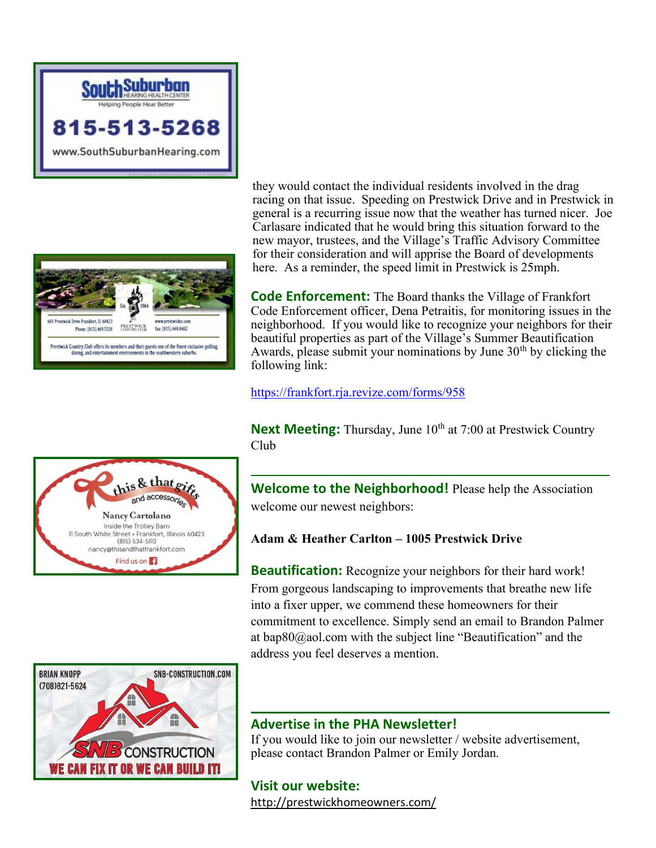



this & that and accessor

Nancy Cartolano Inside the Trolley Barn 11 South White Street • Frankfort, Illinois 60423  $(815) 534 - 5110$ nancy@thisandthatfrankfort.com Find us on **F** 

they would contact the individual residents involved in the drag racing on that issue. Speeding on Prestwick Drive and in Prestwick in general is a recurring issue now that the weather has turned nicer. Joe Carlasare indicated that he would bring this situation forward to the new mayor, trustees, and the Village's Traffic Advisory Committee for their consideration and will apprise the Board of developments here. As a reminder, the speed limit in Prestwick is 25mph.

**Code Enforcement:** The Board thanks the Village of Frankfort Code Enforcement officer, Dena Petraitis, for monitoring issues in the neighborhood. If you would like to recognize your neighbors for their beautiful properties as part of the Village's Summer Beautification Awards, please submit your nominations by June  $30<sup>th</sup>$  by clicking the following link:

https://frankfort.rja.revize.com/forms/958

**Next Meeting:** Thursday, June  $10^{th}$  at 7:00 at Prestwick Country Club

Welcome to the Neighborhood! Please help the Association welcome our newest neighbors:

### Adam & Heather Carlton – 1005 Prestwick Drive

**Beautification:** Recognize your neighbors for their hard work! From gorgeous landscaping to improvements that breathe new life into a fixer upper, we commend these homeowners for their commitment to excellence. Simply send an email to Brandon Palmer at bap80@aol.com with the subject line "Beautification" and the address you feel deserves a mention.



#### Advertise in the PHA Newsletter!

If you would like to join our newsletter / website advertisement, please contact Brandon Palmer or Emily Jordan.

Visit our website: http://prestwickhomeowners.com/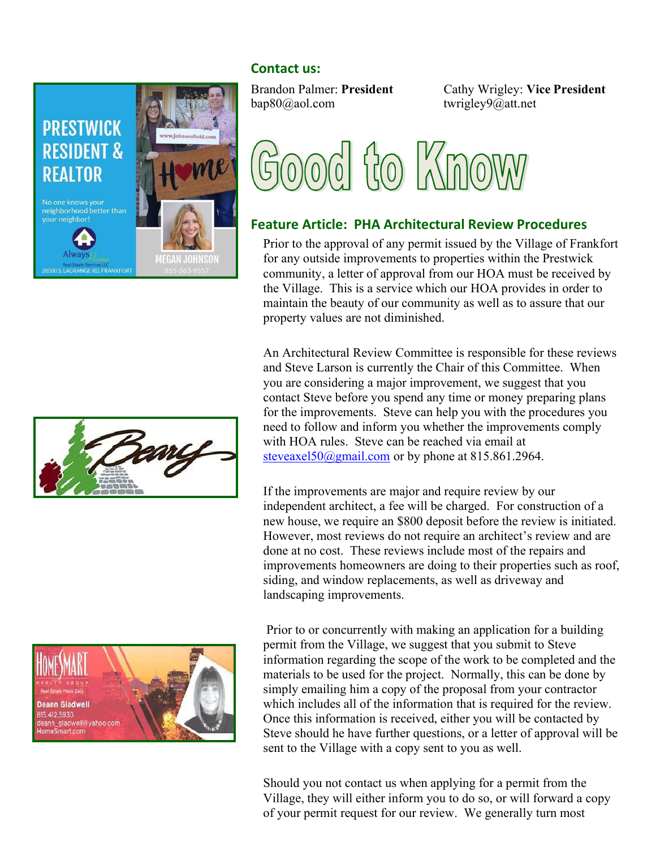## Contact us:



bap80@aol.com twrigley9@att.net

Brandon Palmer: President Cathy Wrigley: Vice President



# Feature Article: PHA Architectural Review Procedures

Prior to the approval of any permit issued by the Village of Frankfort for any outside improvements to properties within the Prestwick community, a letter of approval from our HOA must be received by the Village. This is a service which our HOA provides in order to maintain the beauty of our community as well as to assure that our property values are not diminished.

An Architectural Review Committee is responsible for these reviews and Steve Larson is currently the Chair of this Committee. When you are considering a major improvement, we suggest that you contact Steve before you spend any time or money preparing plans for the improvements. Steve can help you with the procedures you need to follow and inform you whether the improvements comply with HOA rules. Steve can be reached via email at steveaxel50@gmail.com or by phone at 815.861.2964.

If the improvements are major and require review by our independent architect, a fee will be charged. For construction of a new house, we require an \$800 deposit before the review is initiated. However, most reviews do not require an architect's review and are done at no cost. These reviews include most of the repairs and improvements homeowners are doing to their properties such as roof, siding, and window replacements, as well as driveway and landscaping improvements.

 Prior to or concurrently with making an application for a building permit from the Village, we suggest that you submit to Steve information regarding the scope of the work to be completed and the materials to be used for the project. Normally, this can be done by simply emailing him a copy of the proposal from your contractor which includes all of the information that is required for the review. Once this information is received, either you will be contacted by Steve should he have further questions, or a letter of approval will be sent to the Village with a copy sent to you as well.

Should you not contact us when applying for a permit from the Village, they will either inform you to do so, or will forward a copy of your permit request for our review. We generally turn most